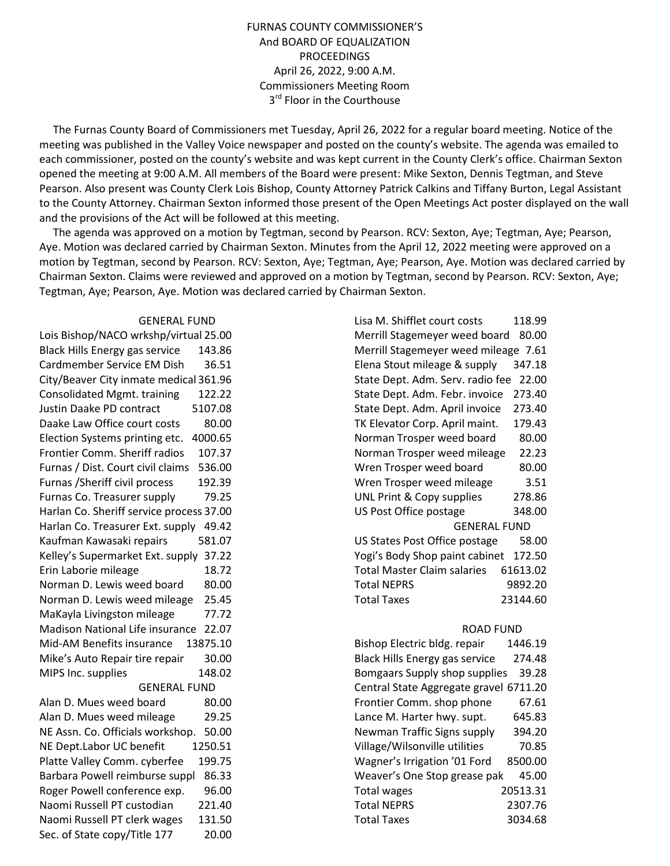## FURNAS COUNTY COMMISSIONER'S And BOARD OF EQUALIZATION PROCEEDINGS April 26, 2022, 9:00 A.M. Commissioners Meeting Room 3<sup>rd</sup> Floor in the Courthouse

 The Furnas County Board of Commissioners met Tuesday, April 26, 2022 for a regular board meeting. Notice of the meeting was published in the Valley Voice newspaper and posted on the county's website. The agenda was emailed to each commissioner, posted on the county's website and was kept current in the County Clerk's office. Chairman Sexton opened the meeting at 9:00 A.M. All members of the Board were present: Mike Sexton, Dennis Tegtman, and Steve Pearson. Also present was County Clerk Lois Bishop, County Attorney Patrick Calkins and Tiffany Burton, Legal Assistant to the County Attorney. Chairman Sexton informed those present of the Open Meetings Act poster displayed on the wall and the provisions of the Act will be followed at this meeting.

 The agenda was approved on a motion by Tegtman, second by Pearson. RCV: Sexton, Aye; Tegtman, Aye; Pearson, Aye. Motion was declared carried by Chairman Sexton. Minutes from the April 12, 2022 meeting were approved on a motion by Tegtman, second by Pearson. RCV: Sexton, Aye; Tegtman, Aye; Pearson, Aye. Motion was declared carried by Chairman Sexton. Claims were reviewed and approved on a motion by Tegtman, second by Pearson. RCV: Sexton, Aye; Tegtman, Aye; Pearson, Aye. Motion was declared carried by Chairman Sexton.

## GENERAL FUND

Lois Bishop/NACO wrkshp/virtual 25.00 Black Hills Energy gas service 143.86 Cardmember Service EM Dish 36.51 City/Beaver City inmate medical 361.96 Consolidated Mgmt. training 122.22 Justin Daake PD contract 5107.08 Daake Law Office court costs 80.00 Election Systems printing etc. 4000.65 Frontier Comm. Sheriff radios 107.37 Furnas / Dist. Court civil claims 536.00 Furnas /Sheriff civil process 192.39 Furnas Co. Treasurer supply 79.25 Harlan Co. Sheriff service process 37.00 Harlan Co. Treasurer Ext. supply 49.42 Kaufman Kawasaki repairs 581.07 Kelley's Supermarket Ext. supply 37.22 Erin Laborie mileage 18.72 Norman D. Lewis weed board 80.00 Norman D. Lewis weed mileage 25.45 MaKayla Livingston mileage 77.72 Madison National Life insurance 22.07 Mid-AM Benefits insurance 13875.10 Mike's Auto Repair tire repair 30.00 MIPS Inc. supplies 148.02 GENERAL FUND Alan D. Mues weed board 80.00 Alan D. Mues weed mileage 29.25 NE Assn. Co. Officials workshop. 50.00 NE Dept.Labor UC benefit 1250.51 Platte Valley Comm. cyberfee 199.75 Barbara Powell reimburse suppl 86.33 Roger Powell conference exp. 96.00 Naomi Russell PT custodian 221.40 Naomi Russell PT clerk wages 131.50 Sec. of State copy/Title 177 20.00

| Lisa M. Shifflet court costs           | 118.99   |  |  |
|----------------------------------------|----------|--|--|
| 80.00<br>Merrill Stagemeyer weed board |          |  |  |
| Merrill Stagemeyer weed mileage 7.61   |          |  |  |
| Elena Stout mileage & supply           | 347.18   |  |  |
| State Dept. Adm. Serv. radio fee       | 22.00    |  |  |
| State Dept. Adm. Febr. invoice         | 273.40   |  |  |
| State Dept. Adm. April invoice         | 273.40   |  |  |
| TK Elevator Corp. April maint.         | 179.43   |  |  |
| Norman Trosper weed board              | 80.00    |  |  |
| Norman Trosper weed mileage            | 22.23    |  |  |
| Wren Trosper weed board                | 80.00    |  |  |
| Wren Trosper weed mileage              | 3.51     |  |  |
| UNL Print & Copy supplies              | 278.86   |  |  |
| US Post Office postage                 | 348.00   |  |  |
| <b>GENERAL FUND</b>                    |          |  |  |
| US States Post Office postage          | 58.00    |  |  |
| Yogi's Body Shop paint cabinet         | 172.50   |  |  |
| Total Master Claim salaries            | 61613.02 |  |  |
| <b>Total NEPRS</b>                     | 9892.20  |  |  |
| <b>Total Taxes</b>                     | 23144.60 |  |  |
| <b>ROAD FUND</b>                       |          |  |  |
| Bishop Electric bldg. repair           | 1446.19  |  |  |
| <b>Black Hills Energy gas service</b>  | 274.48   |  |  |
| <b>Bomgaars Supply shop supplies</b>   | 39.28    |  |  |
| Central State Aggregate gravel 6711.20 |          |  |  |
| Frontier Comm. shop phone              | 67.61    |  |  |
| Lance M. Harter hwy. supt.             | 645.83   |  |  |
| Newman Traffic Signs supply            | 394.20   |  |  |
| Village/Wilsonville utilities          | 70.85    |  |  |
| Wagner's Irrigation '01 Ford           | 8500.00  |  |  |
| Weaver's One Stop grease pak           | 45.00    |  |  |
| <b>Total wages</b>                     | 20513.31 |  |  |
| <b>Total NEPRS</b>                     | 2307.76  |  |  |
| Total Taxes                            | 3034.68  |  |  |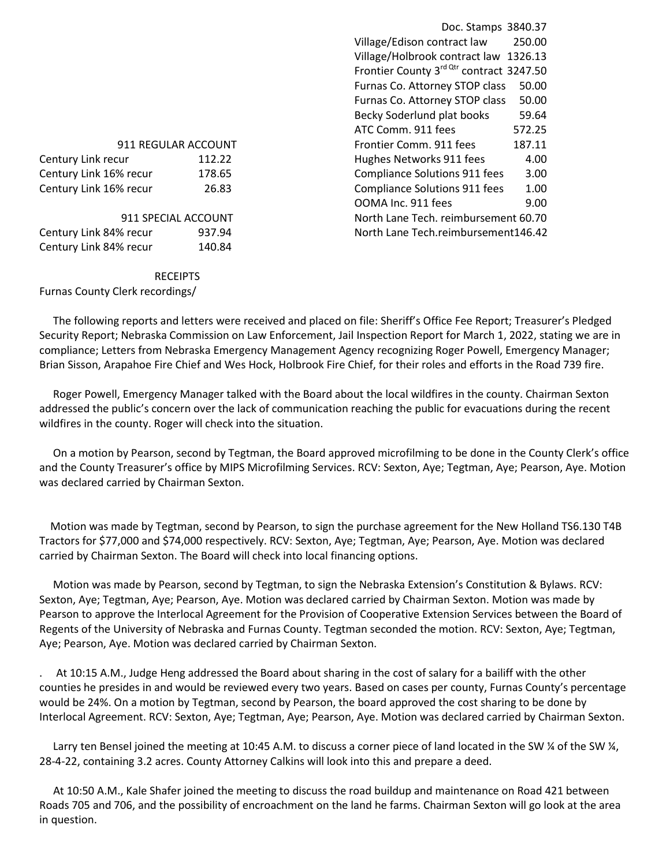| 911 REGULAR ACCOUNT    |        |  |
|------------------------|--------|--|
| Century Link recur     | 112.22 |  |
| Century Link 16% recur | 178.65 |  |
| Century Link 16% recur | 26.83  |  |
|                        |        |  |
| 911 SPECIAL ACCOUNT    |        |  |
| Century Link 84% recur | 937.94 |  |
| Century Link 84% recur | 140.84 |  |

RECEIPTS

Furnas County Clerk recordings/

## Doc. Stamps 3840.37 Village/Edison contract law 250.00 Village/Holbrook contract law 1326.13 Frontier County  $3^{\text{rd Qtr}}$  contract 3247.50 Furnas Co. Attorney STOP class 50.00 Furnas Co. Attorney STOP class 50.00 Becky Soderlund plat books 59.64 ATC Comm. 911 fees 672.25 Frontier Comm. 911 fees 187.11 Hughes Networks 911 fees 4.00 Compliance Solutions 911 fees 3.00 Compliance Solutions 911 fees 1.00 OOMA Inc. 911 fees 9.00 North Lane Tech. reimbursement 60.70 North Lane Tech.reimbursement146.42

 The following reports and letters were received and placed on file: Sheriff's Office Fee Report; Treasurer's Pledged Security Report; Nebraska Commission on Law Enforcement, Jail Inspection Report for March 1, 2022, stating we are in compliance; Letters from Nebraska Emergency Management Agency recognizing Roger Powell, Emergency Manager; Brian Sisson, Arapahoe Fire Chief and Wes Hock, Holbrook Fire Chief, for their roles and efforts in the Road 739 fire.

 Roger Powell, Emergency Manager talked with the Board about the local wildfires in the county. Chairman Sexton addressed the public's concern over the lack of communication reaching the public for evacuations during the recent wildfires in the county. Roger will check into the situation.

 On a motion by Pearson, second by Tegtman, the Board approved microfilming to be done in the County Clerk's office and the County Treasurer's office by MIPS Microfilming Services. RCV: Sexton, Aye; Tegtman, Aye; Pearson, Aye. Motion was declared carried by Chairman Sexton.

 Motion was made by Tegtman, second by Pearson, to sign the purchase agreement for the New Holland TS6.130 T4B Tractors for \$77,000 and \$74,000 respectively. RCV: Sexton, Aye; Tegtman, Aye; Pearson, Aye. Motion was declared carried by Chairman Sexton. The Board will check into local financing options.

 Motion was made by Pearson, second by Tegtman, to sign the Nebraska Extension's Constitution & Bylaws. RCV: Sexton, Aye; Tegtman, Aye; Pearson, Aye. Motion was declared carried by Chairman Sexton. Motion was made by Pearson to approve the Interlocal Agreement for the Provision of Cooperative Extension Services between the Board of Regents of the University of Nebraska and Furnas County. Tegtman seconded the motion. RCV: Sexton, Aye; Tegtman, Aye; Pearson, Aye. Motion was declared carried by Chairman Sexton.

. At 10:15 A.M., Judge Heng addressed the Board about sharing in the cost of salary for a bailiff with the other counties he presides in and would be reviewed every two years. Based on cases per county, Furnas County's percentage would be 24%. On a motion by Tegtman, second by Pearson, the board approved the cost sharing to be done by Interlocal Agreement. RCV: Sexton, Aye; Tegtman, Aye; Pearson, Aye. Motion was declared carried by Chairman Sexton.

Larry ten Bensel joined the meeting at 10:45 A.M. to discuss a corner piece of land located in the SW ¼ of the SW ¼, 28-4-22, containing 3.2 acres. County Attorney Calkins will look into this and prepare a deed.

 At 10:50 A.M., Kale Shafer joined the meeting to discuss the road buildup and maintenance on Road 421 between Roads 705 and 706, and the possibility of encroachment on the land he farms. Chairman Sexton will go look at the area in question.